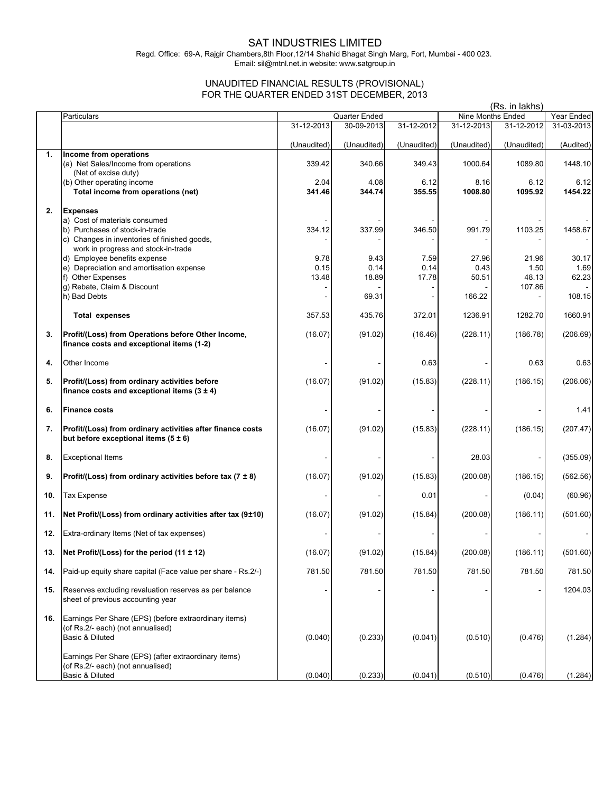## SAT INDUSTRIES LIMITED

Regd. Office: 69-A, Rajgir Chambers,8th Floor,12/14 Shahid Bhagat Singh Marg, Fort, Mumbai - 400 023. Email: sil@mtnl.net.in website: www.satgroup.in

## UNAUDITED FINANCIAL RESULTS (PROVISIONAL) FOR THE QUARTER ENDED 31ST DECEMBER, 2013

|     |                                                                                                  |                |                |                | (Rs. in lakhs)  |                   |                 |
|-----|--------------------------------------------------------------------------------------------------|----------------|----------------|----------------|-----------------|-------------------|-----------------|
|     | Particulars                                                                                      |                | Quarter Ended  |                |                 | Nine Months Ended | Year Ended      |
|     |                                                                                                  | 31-12-2013     | 30-09-2013     | 31-12-2012     | 31-12-2013      | 31-12-2012        | 31-03-2013      |
| 1.  | Income from operations                                                                           | (Unaudited)    | (Unaudited)    | (Unaudited)    | (Unaudited)     | (Unaudited)       | (Audited)       |
|     | (a) Net Sales/Income from operations                                                             | 339.42         | 340.66         | 349.43         | 1000.64         | 1089.80           | 1448.10         |
|     | (Net of excise duty)                                                                             |                |                |                |                 |                   |                 |
|     | (b) Other operating income<br>Total income from operations (net)                                 | 2.04<br>341.46 | 4.08<br>344.74 | 6.12<br>355.55 | 8.16<br>1008.80 | 6.12<br>1095.92   | 6.12<br>1454.22 |
|     |                                                                                                  |                |                |                |                 |                   |                 |
| 2.  | <b>Expenses</b>                                                                                  |                |                |                |                 |                   |                 |
|     | a) Cost of materials consumed                                                                    |                |                |                |                 |                   |                 |
|     | b) Purchases of stock-in-trade<br>c) Changes in inventories of finished goods,                   | 334.12         | 337.99         | 346.50         | 991.79          | 1103.25           | 1458.67         |
|     | work in progress and stock-in-trade                                                              |                |                |                |                 |                   |                 |
|     | d) Employee benefits expense                                                                     | 9.78           | 9.43           | 7.59           | 27.96           | 21.96             | 30.17           |
|     | e) Depreciation and amortisation expense                                                         | 0.15           | 0.14           | 0.14           | 0.43            | 1.50              | 1.69            |
|     | f) Other Expenses                                                                                | 13.48          | 18.89          | 17.78          | 50.51           | 48.13             | 62.23           |
|     | g) Rebate, Claim & Discount<br>h) Bad Debts                                                      |                | 69.31          |                | 166.22          | 107.86            | 108.15          |
|     |                                                                                                  |                |                |                |                 |                   |                 |
|     | Total expenses                                                                                   | 357.53         | 435.76         | 372.01         | 1236.91         | 1282.70           | 1660.91         |
| 3.  | Profit/(Loss) from Operations before Other Income,                                               | (16.07)        | (91.02)        | (16.46)        | (228.11)        | (186.78)          | (206.69)        |
|     | finance costs and exceptional items (1-2)                                                        |                |                |                |                 |                   |                 |
| 4.  | Other Income                                                                                     |                |                | 0.63           |                 | 0.63              | 0.63            |
|     |                                                                                                  |                |                |                |                 |                   |                 |
| 5.  | Profit/(Loss) from ordinary activities before<br>finance costs and exceptional items $(3 \pm 4)$ | (16.07)        | (91.02)        | (15.83)        | (228.11)        | (186.15)          | (206.06)        |
|     |                                                                                                  |                |                |                |                 |                   |                 |
| 6.  | <b>Finance costs</b>                                                                             |                |                |                |                 |                   | 1.41            |
| 7.  | Profit/(Loss) from ordinary activities after finance costs                                       | (16.07)        | (91.02)        | (15.83)        | (228.11)        | (186.15)          | (207.47)        |
|     | but before exceptional items $(5 \pm 6)$                                                         |                |                |                |                 |                   |                 |
| 8.  | <b>Exceptional Items</b>                                                                         |                |                |                | 28.03           |                   | (355.09)        |
|     |                                                                                                  |                |                |                |                 |                   |                 |
| 9.  | Profit/(Loss) from ordinary activities before tax $(7 \pm 8)$                                    | (16.07)        | (91.02)        | (15.83)        | (200.08)        | (186.15)          | (562.56)        |
| 10. | <b>Tax Expense</b>                                                                               |                |                | 0.01           |                 | (0.04)            | (60.96)         |
| 11. | Net Profit/(Loss) from ordinary activities after tax (9±10)                                      | (16.07)        | (91.02)        | (15.84)        | (200.08)        | (186.11)          | (501.60)        |
| 12. | Extra-ordinary Items (Net of tax expenses)                                                       |                |                |                |                 |                   |                 |
| 13. | Net Profit/(Loss) for the period (11 ± 12)                                                       | (16.07)        | (91.02)        | (15.84)        | (200.08)        | (186.11)          | (501.60)        |
| 14. | Paid-up equity share capital (Face value per share - Rs.2/-)                                     | 781.50         | 781.50         | 781.50         | 781.50          | 781.50            | 781.50          |
|     |                                                                                                  |                |                |                |                 |                   |                 |
| 15. | Reserves excluding revaluation reserves as per balance<br>sheet of previous accounting year      |                |                |                |                 |                   | 1204.03         |
| 16. | Earnings Per Share (EPS) (before extraordinary items)                                            |                |                |                |                 |                   |                 |
|     | (of Rs.2/- each) (not annualised)                                                                |                |                |                |                 |                   |                 |
|     | Basic & Diluted                                                                                  | (0.040)        | (0.233)        | (0.041)        | (0.510)         | (0.476)           | (1.284)         |
|     |                                                                                                  |                |                |                |                 |                   |                 |
|     | Earnings Per Share (EPS) (after extraordinary items)                                             |                |                |                |                 |                   |                 |
|     | (of Rs.2/- each) (not annualised)                                                                |                |                |                |                 |                   |                 |
|     | Basic & Diluted                                                                                  | (0.040)        | (0.233)        | (0.041)        | (0.510)         | (0.476)           | (1.284)         |